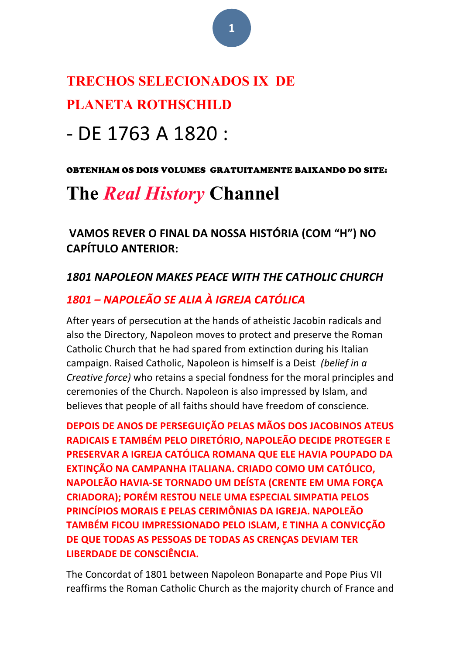# **TRECHOS SELECIONADOS IX DE PLANETA ROTHSCHILD**

# - DE 1763 A 1820 :

#### OBTENHAM OS DOIS VOLUMES GRATUITAMENTE BAIXANDO DO SITE:

# **The** *Real History* **Channel**

VAMOS REVER O FINAL DA NOSSA HISTÓRIA (COM "H") NO **CAPÍTULO ANTERIOR:**

# 1801 NAPOLEON MAKES PEACE WITH THE CATHOLIC CHURCH

# *1801 – NAPOLEÃO SE ALIA À IGREJA CATÓLICA*

After years of persecution at the hands of atheistic Jacobin radicals and also the Directory, Napoleon moves to protect and preserve the Roman Catholic Church that he had spared from extinction during his Italian campaign. Raised Catholic, Napoleon is himself is a Deist *(belief in a Creative force*) who retains a special fondness for the moral principles and ceremonies of the Church. Napoleon is also impressed by Islam, and believes that people of all faiths should have freedom of conscience.

**DEPOIS DE ANOS DE PERSEGUIÇÃO PELAS MÃOS DOS JACOBINOS ATEUS RADICAIS E TAMBÉM PELO DIRETÓRIO, NAPOLEÃO DECIDE PROTEGER E PRESERVAR A IGREJA CATÓLICA ROMANA QUE ELE HAVIA POUPADO DA EXTINÇÃO NA CAMPANHA ITALIANA. CRIADO COMO UM CATÓLICO, NAPOLEÃO HAVIA-SE TORNADO UM DEÍSTA (CRENTE EM UMA FORÇA CRIADORA); PORÉM RESTOU NELE UMA ESPECIAL SIMPATIA PELOS PRINCÍPIOS MORAIS E PELAS CERIMÔNIAS DA IGREJA. NAPOLEÃO** TAMBÉM FICOU IMPRESSIONADO PELO ISLAM, E TINHA A CONVICÇÃO DE QUE TODAS AS PESSOAS DE TODAS AS CRENÇAS DEVIAM TER **LIBERDADE DE CONSCIÊNCIA.** 

The Concordat of 1801 between Napoleon Bonaparte and Pope Pius VII reaffirms the Roman Catholic Church as the majority church of France and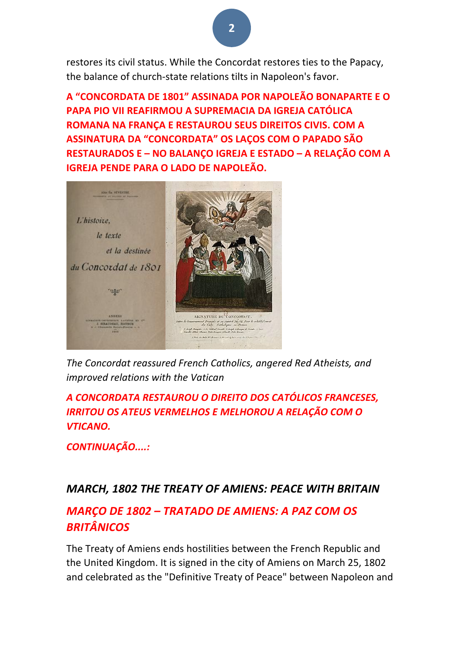restores its civil status. While the Concordat restores ties to the Papacy, the balance of church-state relations tilts in Napoleon's favor.

**A "CONCORDATA DE 1801" ASSINADA POR NAPOLEÃO BONAPARTE E O PAPA PIO VII REAFIRMOU A SUPREMACIA DA IGREJA CATÓLICA ROMANA NA FRANÇA E RESTAUROU SEUS DIREITOS CIVIS. COM A ASSINATURA DA "CONCORDATA" OS LAÇOS COM O PAPADO SÃO RESTAURADOS E – NO BALANÇO IGREJA E ESTADO – A RELAÇÃO COM A IGREJA PENDE PARA O LADO DE NAPOLEÃO.** 



The Concordat reassured French Catholics, angered Red Atheists, and *improved relations with the Vatican*

*A CONCORDATA RESTAUROU O DIREITO DOS CATÓLICOS FRANCESES,*  **IRRITOU OS ATEUS VERMELHOS E MELHOROU A RELAÇÃO COM O** *VTICANO.*

*CONTINUAÇÃO....:*

### *MARCH, 1802 THE TREATY OF AMIENS: PEACE WITH BRITAIN*

## *MARÇO DE 1802 – TRATADO DE AMIENS: A PAZ COM OS BRITÂNICOS*

The Treaty of Amiens ends hostilities between the French Republic and the United Kingdom. It is signed in the city of Amiens on March 25, 1802 and celebrated as the "Definitive Treaty of Peace" between Napoleon and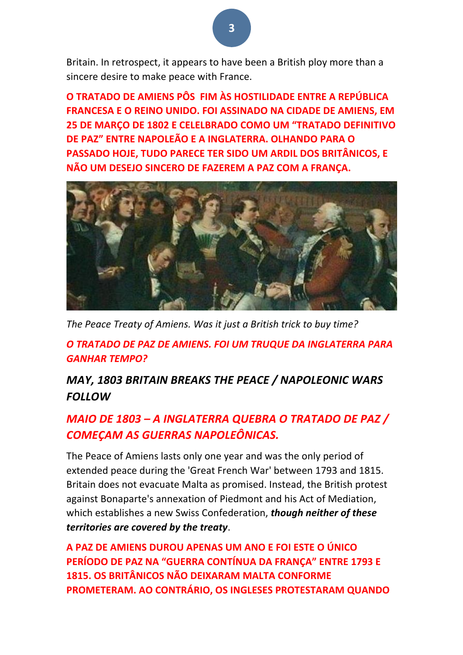Britain. In retrospect, it appears to have been a British ploy more than a sincere desire to make peace with France.

**O TRATADO DE AMIENS PÔS FIM ÀS HOSTILIDADE ENTRE A REPÚBLICA FRANCESA E O REINO UNIDO. FOI ASSINADO NA CIDADE DE AMIENS, EM 25 DE MARCO DE 1802 E CELELBRADO COMO UM "TRATADO DEFINITIVO DE PAZ" ENTRE NAPOLEÃO E A INGLATERRA. OLHANDO PARA O PASSADO HOJE, TUDO PARECE TER SIDO UM ARDIL DOS BRITÂNICOS, E NÃO UM DESEJO SINCERO DE FAZEREM A PAZ COM A FRANÇA.**



The Peace Treaty of Amiens. Was it just a British trick to buy time?

*O TRATADO DE PAZ DE AMIENS. FOI UM TRUQUE DA INGLATERRA PARA GANHAR TEMPO?*

# *MAY, 1803 BRITAIN BREAKS THE PEACE / NAPOLEONIC WARS FOLLOW*

# *MAIO DE 1803 – A INGLATERRA QUEBRA O TRATADO DE PAZ* / *COMEÇAM AS GUERRAS NAPOLEÔNICAS.*

The Peace of Amiens lasts only one year and was the only period of extended peace during the 'Great French War' between 1793 and 1815. Britain does not evacuate Malta as promised. Instead, the British protest against Bonaparte's annexation of Piedmont and his Act of Mediation, which establishes a new Swiss Confederation, **though neither of these** *territories are covered by the treaty*.

A PAZ DE AMIENS DUROU APENAS UM ANO E FOI ESTE O ÚNICO **PERÍODO DE PAZ NA "GUERRA CONTÍNUA DA FRANÇA" ENTRE 1793 E 1815. OS BRITÂNICOS NÃO DEIXARAM MALTA CONFORME PROMETERAM. AO CONTRÁRIO, OS INGLESES PROTESTARAM QUANDO** 

**3**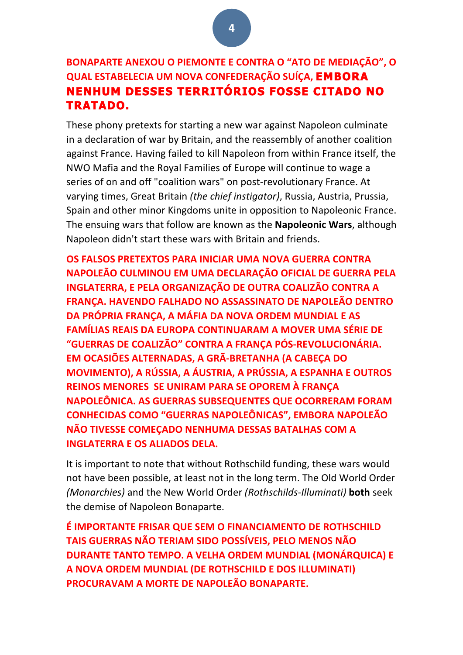## **BONAPARTE ANEXOU O PIEMONTE E CONTRA O "ATO DE MEDIAÇÃO", O QUAL ESTABELECIA UM NOVA CONFEDERAÇÃO SUÍÇA, EMBORA NENHUM DESSES TERRITÓRIOS FOSSE CITADO NO TRATADO.**

These phony pretexts for starting a new war against Napoleon culminate in a declaration of war by Britain, and the reassembly of another coalition against France. Having failed to kill Napoleon from within France itself, the NWO Mafia and the Royal Families of Europe will continue to wage a series of on and off "coalition wars" on post-revolutionary France. At varying times, Great Britain (the chief instigator), Russia, Austria, Prussia, Spain and other minor Kingdoms unite in opposition to Napoleonic France. The ensuing wars that follow are known as the **Napoleonic Wars**, although Napoleon didn't start these wars with Britain and friends.

**OS FALSOS PRETEXTOS PARA INICIAR UMA NOVA GUERRA CONTRA NAPOLEÃO CULMINOU EM UMA DECLARAÇÃO OFICIAL DE GUERRA PELA INGLATERRA, E PELA ORGANIZAÇÃO DE OUTRA COALIZÃO CONTRA A FRANÇA. HAVENDO FALHADO NO ASSASSINATO DE NAPOLEÃO DENTRO** DA PRÓPRIA FRANCA, A MÁFIA DA NOVA ORDEM MUNDIAL E AS **FAMÍLIAS REAIS DA EUROPA CONTINUARAM A MOVER UMA SÉRIE DE "GUERRAS DE COALIZÃO" CONTRA A FRANÇA PÓS-REVOLUCIONÁRIA. EM OCASIÕES ALTERNADAS, A GRÃ-BRETANHA (A CABEÇA DO MOVIMENTO), A RÚSSIA, A ÁUSTRIA, A PRÚSSIA, A ESPANHA E OUTROS REINOS MENORES SE UNIRAM PARA SE OPOREM À FRANÇA NAPOLEÔNICA. AS GUERRAS SUBSEQUENTES QUE OCORRERAM FORAM CONHECIDAS COMO "GUERRAS NAPOLEÔNICAS", EMBORA NAPOLEÃO NÃO TIVESSE COMECADO NENHUMA DESSAS BATALHAS COM A INGLATERRA E OS ALIADOS DELA.** 

It is important to note that without Rothschild funding, these wars would not have been possible, at least not in the long term. The Old World Order *(Monarchies)* and the New World Order (Rothschilds-Illuminati) both seek the demise of Napoleon Bonaparte.

**É IMPORTANTE FRISAR QUE SEM O FINANCIAMENTO DE ROTHSCHILD TAIS GUERRAS NÃO TERIAM SIDO POSSÍVEIS, PELO MENOS NÃO DURANTE TANTO TEMPO. A VELHA ORDEM MUNDIAL (MONÁRQUICA) E A NOVA ORDEM MUNDIAL (DE ROTHSCHILD E DOS ILLUMINATI) PROCURAVAM A MORTE DE NAPOLEÃO BONAPARTE.**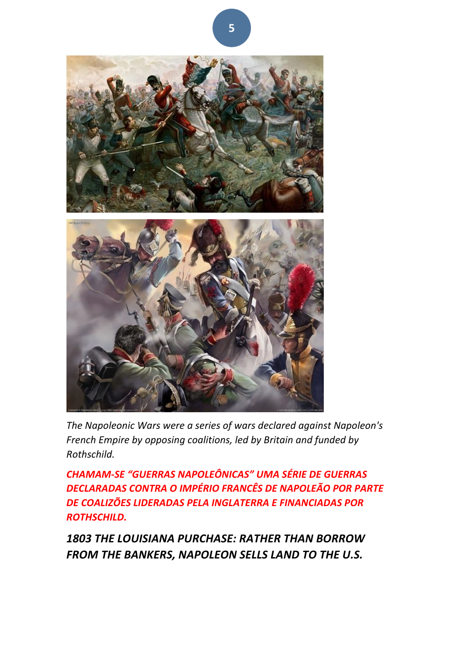

The Napoleonic Wars were a series of wars declared against Napoleon's *French Empire by opposing coalitions, led by Britain and funded by Rothschild.*

*CHAMAM-SE "GUERRAS NAPOLEÔNICAS" UMA SÉRIE DE GUERRAS*  **DECLARADAS CONTRA O IMPÉRIO FRANCÊS DE NAPOLEÃO POR PARTE** *DE COALIZÕES LIDERADAS PELA INGLATERRA E FINANCIADAS POR ROTHSCHILD.*

1803 THE LOUISIANA PURCHASE: RATHER THAN BORROW FROM THE BANKERS, NAPOLEON SELLS LAND TO THE U.S.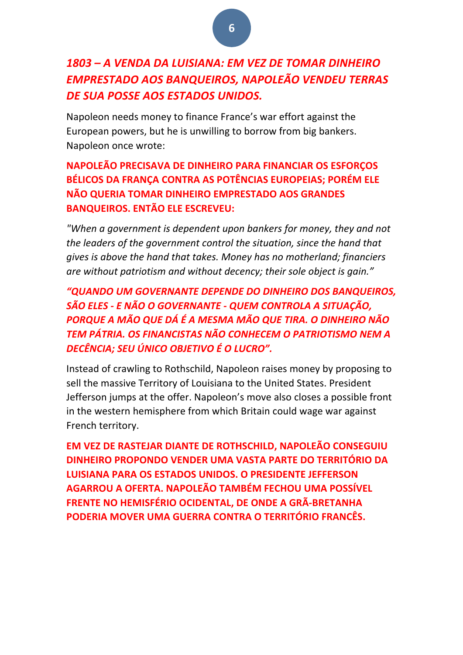# *1803 – A VENDA DA LUISIANA: EM VEZ DE TOMAR DINHEIRO*  **EMPRESTADO AOS BANQUEIROS, NAPOLEÃO VENDEU TERRAS** *DE SUA POSSE AOS ESTADOS UNIDOS.*

Napoleon needs money to finance France's war effort against the European powers, but he is unwilling to borrow from big bankers. Napoleon once wrote:

### **NAPOLEÃO PRECISAVA DE DINHEIRO PARA FINANCIAR OS ESFORÇOS BÉLICOS DA FRANCA CONTRA AS POTÊNCIAS EUROPEIAS: PORÉM ELE NÃO QUERIA TOMAR DINHEIRO EMPRESTADO AOS GRANDES BANQUEIROS. ENTÃO ELE ESCREVEU:**

*"When a government is dependent upon bankers for money, they and not* the leaders of the government control the situation, since the hand that gives is above the hand that takes. Money has no motherland; financiers are without patriotism and without decency; their sole object is gain."

*"QUANDO UM GOVERNANTE DEPENDE DO DINHEIRO DOS BANQUEIROS, SÃO ELES - E NÃO O GOVERNANTE - QUEM CONTROLA A SITUAÇÃO,*  **PORQUE A MÃO QUE DÁ É A MESMA MÃO QUE TIRA. O DINHEIRO NÃO** *TEM PÁTRIA. OS FINANCISTAS NÃO CONHECEM O PATRIOTISMO NEM A DECÊNCIA; SEU ÚNICO OBJETIVO É O LUCRO".*

Instead of crawling to Rothschild, Napoleon raises money by proposing to sell the massive Territory of Louisiana to the United States. President Jefferson jumps at the offer. Napoleon's move also closes a possible front in the western hemisphere from which Britain could wage war against French territory.

**EM VEZ DE RASTEJAR DIANTE DE ROTHSCHILD, NAPOLEÃO CONSEGUIU DINHEIRO PROPONDO VENDER UMA VASTA PARTE DO TERRITÓRIO DA LUISIANA PARA OS ESTADOS UNIDOS. O PRESIDENTE JEFFERSON AGARROU A OFERTA. NAPOLEÃO TAMBÉM FECHOU UMA POSSÍVEL FRENTE NO HEMISFÉRIO OCIDENTAL, DE ONDE A GRÃ-BRETANHA PODERIA MOVER UMA GUERRA CONTRA O TERRITÓRIO FRANCÊS.** 

**6**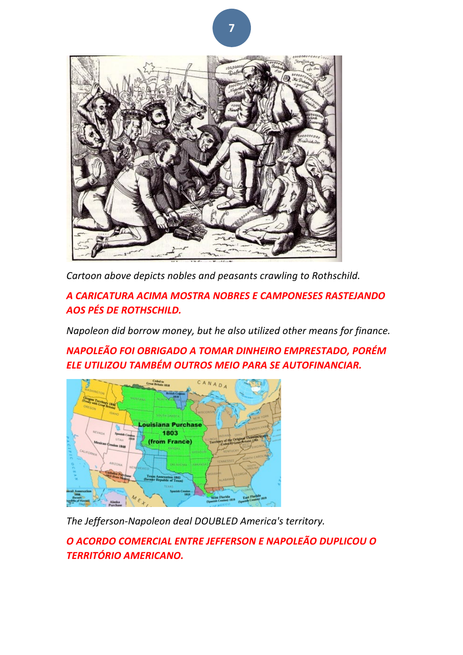

Cartoon above depicts nobles and peasants crawling to Rothschild.

*A CARICATURA ACIMA MOSTRA NOBRES E CAMPONESES RASTEJANDO AOS PÉS DE ROTHSCHILD.*

*Napoleon did borrow money, but he also utilized other means for finance.*

*NAPOLEÃO FOI OBRIGADO A TOMAR DINHEIRO EMPRESTADO, PORÉM*  **ELE UTILIZOU TAMBÉM OUTROS MEIO PARA SE AUTOFINANCIAR.** 



The Jefferson-Napoleon deal DOUBLED America's territory.

*O ACORDO COMERCIAL ENTRE JEFFERSON E NAPOLEÃO DUPLICOU O TERRITÓRIO AMERICANO.*

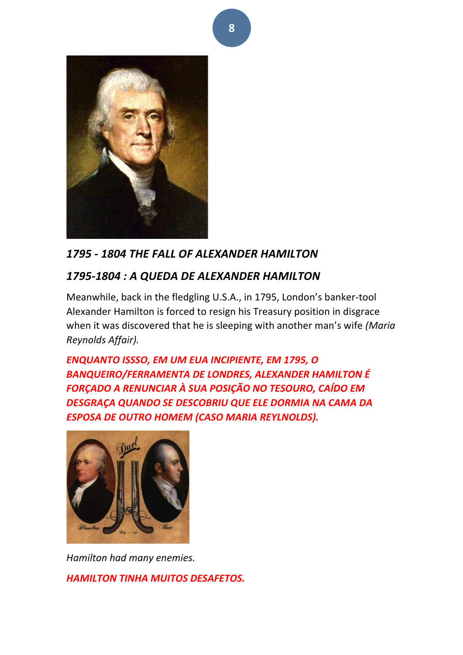

# *1795 - 1804 THE FALL OF ALEXANDER HAMILTON*

# *1795-1804 : A QUEDA DE ALEXANDER HAMILTON*

Meanwhile, back in the fledgling U.S.A., in 1795, London's banker-tool Alexander Hamilton is forced to resign his Treasury position in disgrace when it was discovered that he is sleeping with another man's wife (Maria *Reynolds Affair).*

**ENQUANTO ISSSO, EM UM EUA INCIPIENTE, EM 1795, O** BANQUEIRO/FERRAMENTA DE LONDRES, ALEXANDER HAMILTON É *FORÇADO A RENUNCIAR À SUA POSIÇÃO NO TESOURO, CAÍDO EM*  **DESGRAÇA QUANDO SE DESCOBRIU QUE ELE DORMIA NA CAMA DA ESPOSA DE OUTRO HOMEM (CASO MARIA REYLNOLDS).** 



*Hamilton had many enemies. HAMILTON TINHA MUITOS DESAFETOS.*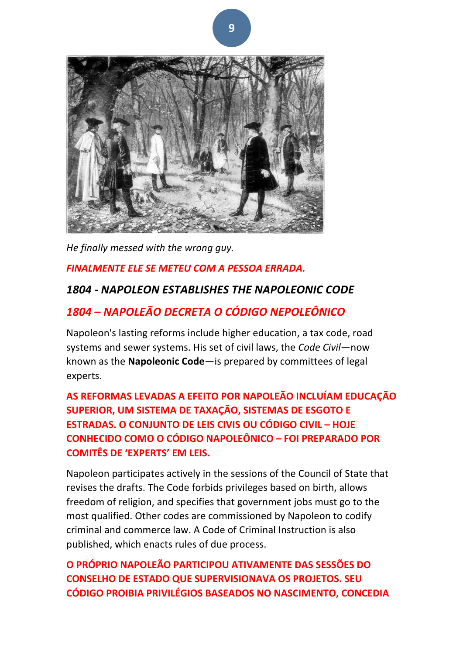

*He finally messed with the wrong guy.* 

#### **FINALMENTE ELE SE METEU COM A PESSOA ERRADA.**

### *1804 - NAPOLEON ESTABLISHES THE NAPOLEONIC CODE*

## *1804 – NAPOLEÃO DECRETA O CÓDIGO NEPOLEÔNICO*

Napoleon's lasting reforms include higher education, a tax code, road systems and sewer systems. His set of civil laws, the *Code Civil*—now known as the **Napoleonic Code**—is prepared by committees of legal experts. 

AS REFORMAS LEVADAS A EFEITO POR NAPOLEÃO INCLUÍAM EDUCAÇÃO **SUPERIOR, UM SISTEMA DE TAXAÇÃO, SISTEMAS DE ESGOTO E ESTRADAS. O CONJUNTO DE LEIS CIVIS OU CÓDIGO CIVIL – HOJE CONHECIDO COMO O CÓDIGO NAPOLEÔNICO – FOI PREPARADO POR COMITÊS DE 'EXPERTS' EM LEIS.**

Napoleon participates actively in the sessions of the Council of State that revises the drafts. The Code forbids privileges based on birth, allows freedom of religion, and specifies that government jobs must go to the most qualified. Other codes are commissioned by Napoleon to codify criminal and commerce law. A Code of Criminal Instruction is also published, which enacts rules of due process.

**O PRÓPRIO NAPOLEÃO PARTICIPOU ATIVAMENTE DAS SESSÕES DO CONSELHO DE ESTADO QUE SUPERVISIONAVA OS PROJETOS. SEU CÓDIGO PROIBIA PRIVILÉGIOS BASEADOS NO NASCIMENTO, CONCEDIA**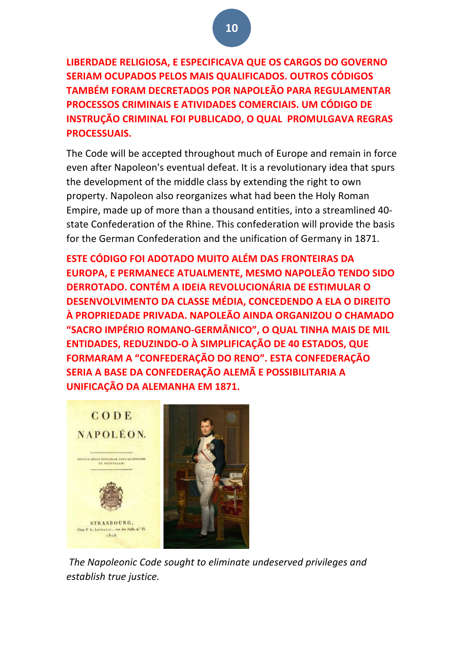**LIBERDADE RELIGIOSA, E ESPECIFICAVA QUE OS CARGOS DO GOVERNO SERIAM OCUPADOS PELOS MAIS QUALIFICADOS. OUTROS CÓDIGOS TAMBÉM FORAM DECRETADOS POR NAPOLEÃO PARA REGULAMENTAR PROCESSOS CRIMINAIS E ATIVIDADES COMERCIAIS. UM CÓDIGO DE INSTRUÇÃO CRIMINAL FOI PUBLICADO, O QUAL PROMULGAVA REGRAS PROCESSUAIS.**

The Code will be accepted throughout much of Europe and remain in force even after Napoleon's eventual defeat. It is a revolutionary idea that spurs the development of the middle class by extending the right to own property. Napoleon also reorganizes what had been the Holy Roman Empire, made up of more than a thousand entities, into a streamlined 40state Confederation of the Rhine. This confederation will provide the basis for the German Confederation and the unification of Germany in 1871.

**ESTE CÓDIGO FOI ADOTADO MUITO ALÉM DAS FRONTEIRAS DA EUROPA, E PERMANECE ATUALMENTE, MESMO NAPOLEÃO TENDO SIDO DERROTADO. CONTÉM A IDEIA REVOLUCIONÁRIA DE ESTIMULAR O DESENVOLVIMENTO DA CLASSE MÉDIA, CONCEDENDO A ELA O DIREITO** À PROPRIEDADE PRIVADA. NAPOLEÃO AINDA ORGANIZOU O CHAMADO **"SACRO IMPÉRIO ROMANO-GERMÂNICO", O QUAL TINHA MAIS DE MIL ENTIDADES, REDUZINDO-O À SIMPLIFICAÇÃO DE 40 ESTADOS, QUE FORMARAM A "CONFEDERAÇÃO DO RENO". ESTA CONFEDERAÇÃO SERIA A BASE DA CONFEDERAÇÃO ALEMÃ E POSSIBILITARIA A UNIFICAÇÃO DA ALEMANHA EM 1871.** 



The Napoleonic Code sought to eliminate undeserved privileges and *establish true justice.*